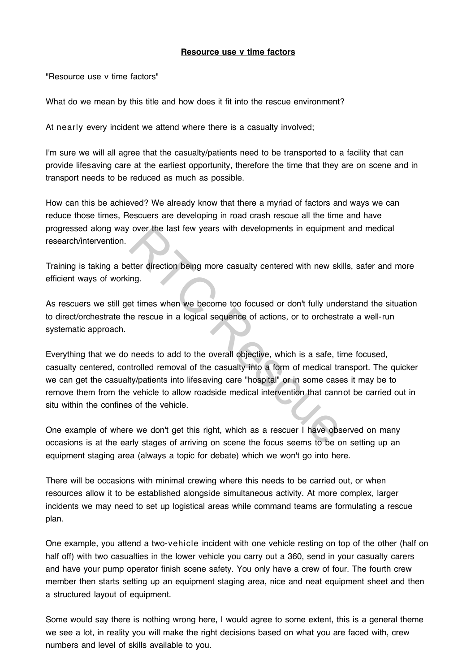## **Resource use v time factors**

"Resource use v time factors"

What do we mean by this title and how does it fit into the rescue environment?

At nearly every incident we attend where there is a casualty involved;

I'm sure we will all agree that the casualty/patients need to be transported to a facility that can provide lifesaving care at the earliest opportunity, therefore the time that they are on scene and in transport needs to be reduced as much as possible.

How can this be achieved? We already know that there a myriad of factors and ways we can reduce those times, Rescuers are developing in road crash rescue all the time and have progressed along way over the last few years with developments in equipment and medical research/intervention.

Training is taking a better direction being more casualty centered with new skills, safer and more efficient ways of working.

As rescuers we still get times when we become too focused or don't fully understand the situation to direct/orchestrate the rescue in a logical sequence of actions, or to orchestrate a well-run systematic approach.

Everything that we do needs to add to the overall objective, which is a safe, time focused, casualty centered, controlled removal of the casualty into a form of medical transport. The quicker we can get the casualty/patients into lifesaving care "hospital" or in some cases it may be to remove them from the vehicle to allow roadside medical intervention that cannot be carried out in situ within the confines of the vehicle. over the last few years with developments in equipment<br>site direction being more casualty centered with new sking.<br>The difference of the swhen we become too focused or don't fully under<br>the rescue in a logical sequence of

One example of where we don't get this right, which as a rescuer I have observed on many occasions is at the early stages of arriving on scene the focus seems to be on setting up an equipment staging area (always a topic for debate) which we won't go into here.

There will be occasions with minimal crewing where this needs to be carried out, or when resources allow it to be established alongside simultaneous activity. At more complex, larger incidents we may need to set up logistical areas while command teams are formulating a rescue plan.

One example, you attend a two-vehicle incident with one vehicle resting on top of the other (half on half off) with two casualties in the lower vehicle you carry out a 360, send in your casualty carers and have your pump operator finish scene safety. You only have a crew of four. The fourth crew member then starts setting up an equipment staging area, nice and neat equipment sheet and then a structured layout of equipment.

Some would say there is nothing wrong here, I would agree to some extent, this is a general theme we see a lot, in reality you will make the right decisions based on what you are faced with, crew numbers and level of skills available to you.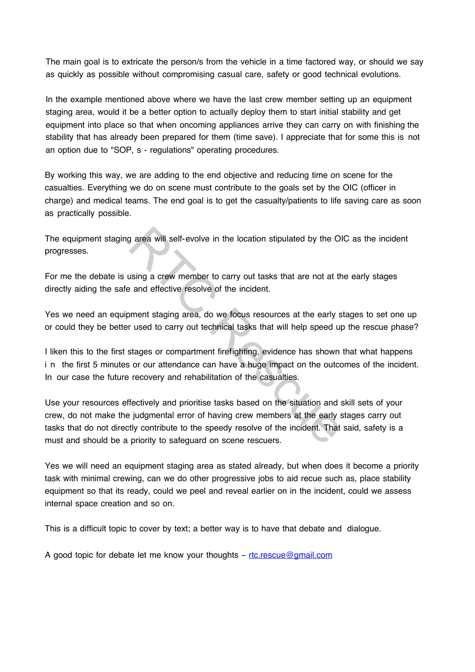The main goal is to extricate the person/s from the vehicle in a time factored way, or should we say as quickly as possible without compromising casual care, safety or good technical evolutions.

In the example mentioned above where we have the last crew member setting up an equipment staging area, would it be a better option to actually deploy them to start initial stability and get equipment into place so that when oncoming appliances arrive they can carry on with finishing the stability that has already been prepared for them (time save). I appreciate that for some this is not an option due to "SOP, s - regulations" operating procedures.

By working this way, we are adding to the end objective and reducing time on scene for the casualties. Everything we do on scene must contribute to the goals set by the OIC (officer in charge) and medical teams. The end goal is to get the casualty/patients to life saving care as soon as practically possible.

The equipment staging area will self-evolve in the location stipulated by the OIC as the incident progresses.

For me the debate is using a crew member to carry out tasks that are not at the early stages directly aiding the safe and effective resolve of the incident.

Yes we need an equipment staging area, do we focus resources at the early stages to set one up or could they be better used to carry out technical tasks that will help speed up the rescue phase?

I liken this to the first stages or compartment firefighting, evidence has shown that what happens i n the first 5 minutes or our attendance can have a huge impact on the outcomes of the incident. In our case the future recovery and rehabilitation of the casualties.

Use your resources effectively and prioritise tasks based on the situation and skill sets of your crew, do not make the judgmental error of having crew members at the early stages carry out tasks that do not directly contribute to the speedy resolve of the incident. That said, safety is a must and should be a priority to safeguard on scene rescuers. g area will self-evolve in the location stipulated by the Ol<br>using a crew member to carry out tasks that are not at the<br>and effective resolve of the incident.<br>ment staging area, do we focus resources at the early s<br>r used

Yes we will need an equipment staging area as stated already, but when does it become a priority task with minimal crewing, can we do other progressive jobs to aid recue such as, place stability equipment so that its ready, could we peel and reveal earlier on in the incident, could we assess internal space creation and so on.

This is a difficult topic to cover by text; a better way is to have that debate and dialogue.

A good topic for debate let me know your thoughts – rtc.rescue@gmail.com